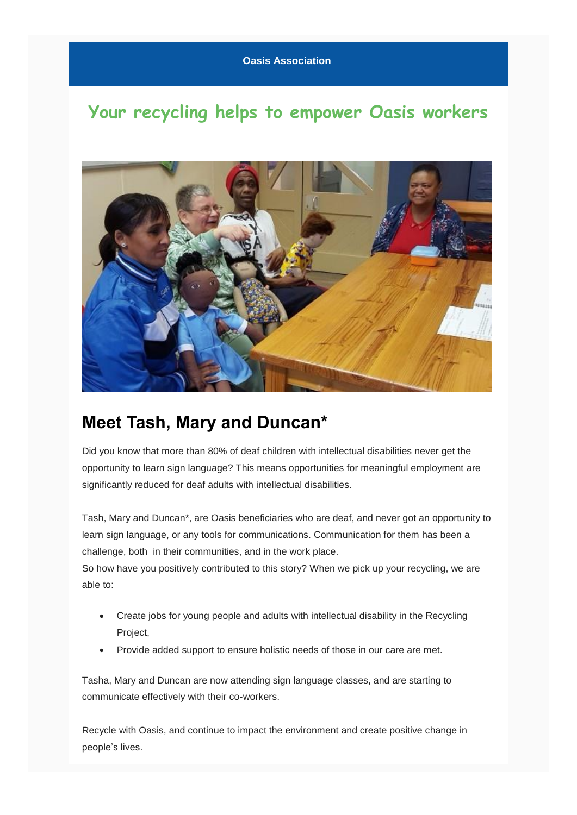## **Your recycling helps to empower Oasis workers**



## **Meet Tash, Mary and Duncan\***

Did you know that more than 80% of deaf children with intellectual disabilities never get the opportunity to learn sign language? This means opportunities for meaningful employment are significantly reduced for deaf adults with intellectual disabilities.

Tash, Mary and Duncan\*, are Oasis beneficiaries who are deaf, and never got an opportunity to learn sign language, or any tools for communications. Communication for them has been a challenge, both in their communities, and in the work place.

So how have you positively contributed to this story? When we pick up your recycling, we are able to:

- Create jobs for young people and adults with intellectual disability in the Recycling Project,
- Provide added support to ensure holistic needs of those in our care are met.

Tasha, Mary and Duncan are now attending sign language classes, and are starting to communicate effectively with their co-workers.

Recycle with Oasis, and continue to impact the environment and create positive change in people's lives.